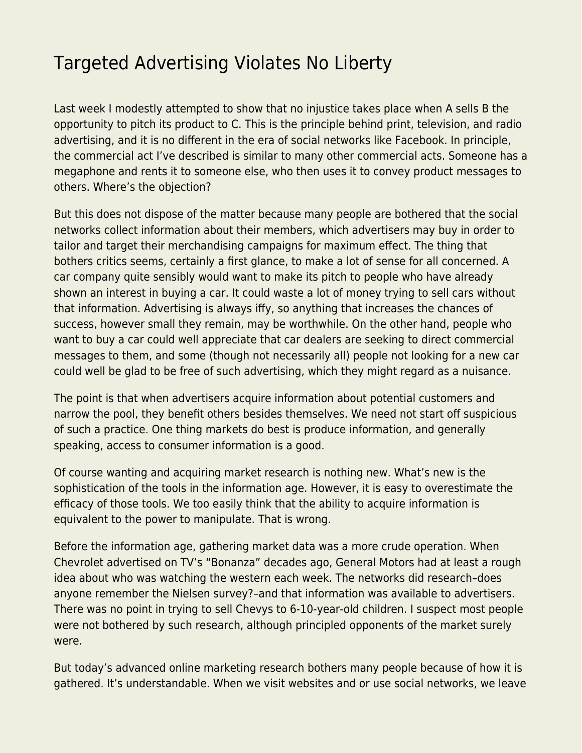## [Targeted Advertising Violates No Liberty](https://everything-voluntary.com/targeted-advertising-violates-no-liberty)

Last week I modestly attempted [to show](https://libertarianinstitute.org/articles/sheldon/tgif-the-bias-against-advertising/) that no injustice takes place when A sells B the opportunity to pitch its product to C. This is the principle behind print, television, and radio advertising, and it is no different in the era of social networks like Facebook. In principle, the commercial act I've described is similar to many other commercial acts. Someone has a megaphone and rents it to someone else, who then uses it to convey product messages to others. Where's the objection?

But this does not dispose of the matter because many people are bothered that the social networks collect information about their members, which advertisers may buy in order to tailor and target their merchandising campaigns for maximum effect. The thing that bothers critics seems, certainly a first glance, to make a lot of sense for all concerned. A car company quite sensibly would want to make its pitch to people who have already shown an interest in buying a car. It could waste a lot of money trying to sell cars without that information. Advertising is always iffy, so anything that increases the chances of success, however small they remain, may be worthwhile. On the other hand, people who want to buy a car could well appreciate that car dealers are seeking to direct commercial messages to them, and some (though not necessarily all) people not looking for a new car could well be glad to be free of such advertising, which they might regard as a nuisance.

The point is that when advertisers acquire information about potential customers and narrow the pool, they benefit others besides themselves. We need not start off suspicious of such a practice. One thing markets do best is produce information, and generally speaking, access to consumer information is a good.

Of course wanting and acquiring market research is nothing new. What's new is the sophistication of the tools in the information age. However, it is easy to overestimate the efficacy of those tools. We too easily think that the ability to acquire information is equivalent to the power to manipulate. That is wrong.

Before the information age, gathering market data was a more crude operation. When Chevrolet advertised on TV's "Bonanza" decades ago, General Motors had at least a rough idea about who was watching the western each week. The networks did research–does anyone remember the Nielsen survey?–and that information was available to advertisers. There was no point in trying to sell Chevys to 6-10-year-old children. I suspect most people were not bothered by such research, although principled opponents of the market surely were.

But today's advanced online marketing research bothers many people because of how it is gathered. It's understandable. When we visit websites and or use social networks, we leave